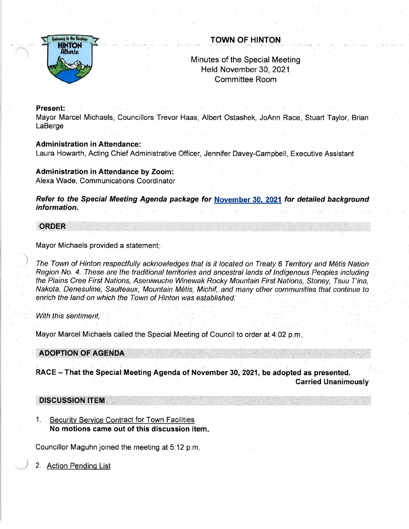

# TOWN OF HINTON

# Minutes of'the Special Meeting Held November 30,2021 Committee Room

### Present:

Mayor Marcel Michaels, Councillors Trevor Haas, Albert Ostashek, JoAnn Race, Stuart Taylor, Brian **LaBerge** 

### Administration in Attendance:

Laura Howarth, Acting Chief Administrative Officer, Jennifer Davey-Campbell, Executive Assistant

#### Administration in Attendance by Zoom: Alexa Wade, Communications Coordinator

Refer to the Special Meeting Agenda package for November 30, 2021 for detailed background information.

#### ORDER

Mayor Michaels provided a statement:

The Town of Hinton respectfully acknowledges that is it located on Treaty 6 Territory and M6tis Nation Region No. 4. These are the traditional territories and ancestral lands of Indigenous Peoples including the Ptains Cree First Nations, Aseniwuche Winewak Rocky Mountain First Nations, Sfoney, Tsuu T'ina, Nakota, Denesuline, Saulteaux, Mountain M6tis, Michif, and many other communities that continue to enrich the land on which the Town of Hinton was established.

With this sentiment,

Mayor Marcel Michaels called the Special Meeting of Council to order at 4:02 p.m.

ADOPTION OF AGENDA

RACE - That the Special Meeting Agenda of November 30, 2021, be adopted as presented. Garried Unanimously

## DISCUSSION ITEM

1. Securitv Service Contract for Town Facilities No motions came out of this discussion item

Councillor Maguhn joined the meeting at 5:12 p.m

2. Action Pending List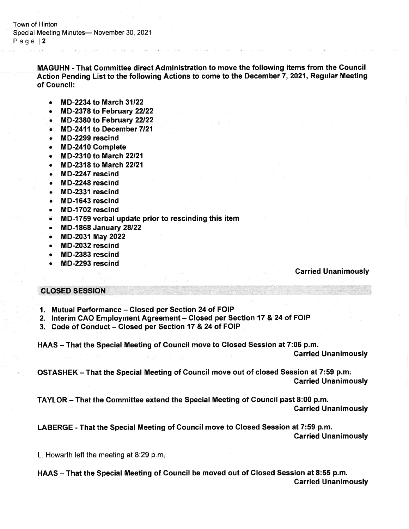Town of Hinton Special Meeting Minutes- November 30, 2021 Page | 2

> MAGUHN - That Gommittee direct Administration to move the following items from the Council Action Pending List to the following Actions to come to the December 7,2021, Regular Meeting of Gouncil:

- . MD-2234 to March <sup>31122</sup>
- MD-2378 to February 22/22
- o, MD-2380 to February <sup>22122</sup>
- $\bullet$  MD-2411 to December 7/21
- . MD-2299 rescind
- o MD-2410 Complete
- MD-2310 to March 22/21
- MD-2318 to March 22/21
- . MD-2247 rescind
- . MD-2248 rescind
- . MD-2331 rescind
- . MD-1643 rescind
- . MD-1702 rescind
- $\bullet$  MD-1759 verbal update prior to rescinding this item
- r MD-l868 January <sup>28122</sup>
- e MD-2031May <sup>2022</sup>
- . MD-2032 rescind
- MD-2383 rescind
- . MD-2293 rescind

#### Garried Unanimously

## CLOSED SESSION

- 1. Mutual Performance Closed per Section 24 of FOIP
- 2. Interim CAO Employment Agreement Closed per Section 17 & 24 of FOIP
- 3. Code of Conduct Closed per Section 17 & 24 of FOIP

HAAS - That the Special Meeting of Council move to Closed Session at 7:06 p.m.

Garried Unanimously

OSTASHEK – That the Special Meeting of Council move out of closed Session at 7:59 p.m. Garried Unanimously

TAYLOR - That the Gommittee extend the Special Meeting of Council past 8:00 p.m.

Garried Unanimously

LABERGE - That the Special Meeting of Council move to Closed Session at 7:59 p.m. Carried Unanimously

L. Howarth left the meeting at 8:29 p.m

HAAS - That the Special Meeting of Council be moved out of Closed Session at 8:55 p.m. Carried Unanimously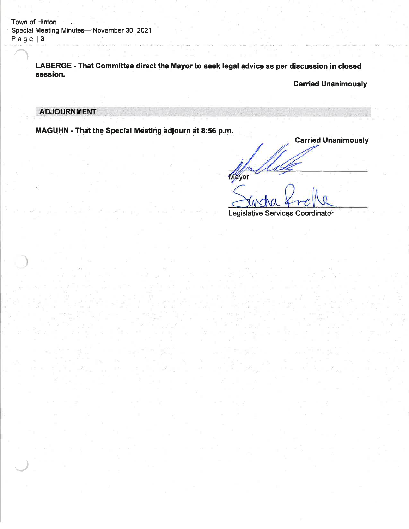Town of Hinton ' Special Meeting Minutes-'November 30,2021 Page | 3

> LABERGE - That Committee direct the Mayor to seek legal advice as per discussion in closed session.

> > Garried Unanimously

## **ADJOURNMENT**

J

MAGUHN - That the Special Meeting adjourn at 8:56 p.m.

**Carried Unanimously** Mayor

Legislative Services Coordinator